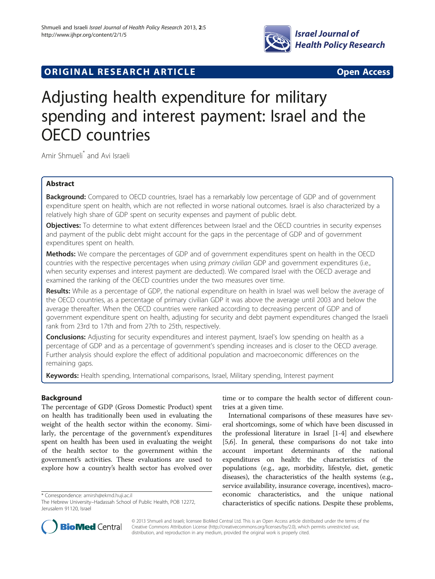

# **ORIGINAL RESEARCH ARTICLE CONSUMING ACCESS**

# Adjusting health expenditure for military spending and interest payment: Israel and the OECD countries

Amir Shmueli\* and Avi Israeli

# Abstract

Background: Compared to OECD countries, Israel has a remarkably low percentage of GDP and of government expenditure spent on health, which are not reflected in worse national outcomes. Israel is also characterized by a relatively high share of GDP spent on security expenses and payment of public debt.

Objectives: To determine to what extent differences between Israel and the OECD countries in security expenses and payment of the public debt might account for the gaps in the percentage of GDP and of government expenditures spent on health.

Methods: We compare the percentages of GDP and of government expenditures spent on health in the OECD countries with the respective percentages when using primary civilian GDP and government expenditures (i.e., when security expenses and interest payment are deducted). We compared Israel with the OECD average and examined the ranking of the OECD countries under the two measures over time.

Results: While as a percentage of GDP, the national expenditure on health in Israel was well below the average of the OECD countries, as a percentage of primary civilian GDP it was above the average until 2003 and below the average thereafter. When the OECD countries were ranked according to decreasing percent of GDP and of government expenditure spent on health, adjusting for security and debt payment expenditures changed the Israeli rank from 23rd to 17th and from 27th to 25th, respectively.

**Conclusions:** Adjusting for security expenditures and interest payment, Israel's low spending on health as a percentage of GDP and as a percentage of government's spending increases and is closer to the OECD average. Further analysis should explore the effect of additional population and macroeconomic differences on the remaining gaps.

**Keywords:** Health spending, International comparisons, Israel, Military spending, Interest payment

# Background

The percentage of GDP (Gross Domestic Product) spent on health has traditionally been used in evaluating the weight of the health sector within the economy. Similarly, the percentage of the government's expenditures spent on health has been used in evaluating the weight of the health sector to the government within the government's activities. These evaluations are used to explore how a country's health sector has evolved over

\* Correspondence: [amirsh@ekmd.huji.ac.il](mailto:amirsh@ekmd.huji.ac.il)

time or to compare the health sector of different countries at a given time.

International comparisons of these measures have several shortcomings, some of which have been discussed in the professional literature in Israel [[1-4\]](#page-5-0) and elsewhere [[5,6](#page-5-0)]. In general, these comparisons do not take into account important determinants of the national expenditures on health: the characteristics of the populations (e.g., age, morbidity, lifestyle, diet, genetic diseases), the characteristics of the health systems (e.g., service availability, insurance coverage, incentives), macroeconomic characteristics, and the unique national characteristics of specific nations. Despite these problems,



© 2013 Shmueli and Israeli; licensee BioMed Central Ltd. This is an Open Access article distributed under the terms of the Creative Commons Attribution License (<http://creativecommons.org/licenses/by/2.0>), which permits unrestricted use, distribution, and reproduction in any medium, provided the original work is properly cited.

The Hebrew University–Hadassah School of Public Health, POB 12272, Jerusalem 91120, Israel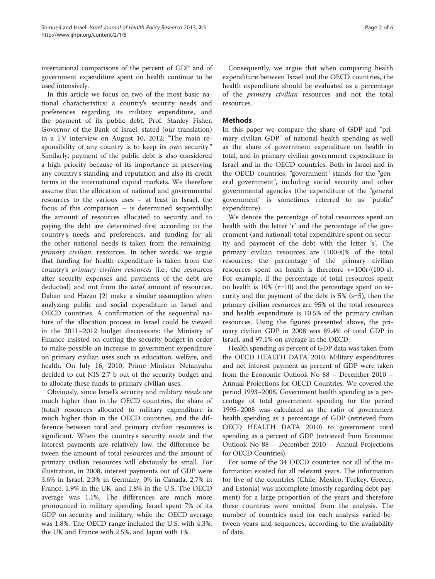international comparisons of the percent of GDP and of government expenditure spent on health continue to be used intensively.

In this article we focus on two of the most basic national characteristics: a country's security needs and preferences regarding its military expenditure, and the payment of its public debt. Prof. Stanley Fisher, Governor of the Bank of Israel, stated (our translation) in a TV interview on August 10, 2012: "The main responsibility of any country is to keep its own security." Similarly, payment of the public debt is also considered a high priority because of its importance in preserving any country's standing and reputation and also its credit terms in the international capital markets. We therefore assume that the allocation of national and governmental resources to the various uses – at least in Israel, the focus of this comparison – is determined sequentially: the amount of resources allocated to security and to paying the debt are determined first according to the country's needs and preferences, and funding for all the other national needs is taken from the remaining, primary civilian, resources. In other words, we argue that funding for health expenditure is taken from the country's primary civilian resources (i.e., the resources after security expenses and payments of the debt are deducted) and not from the total amount of resources. Dahan and Hazan [[2\]](#page-5-0) make a similar assumption when analyzing public and social expenditure in Israel and OECD countries. A confirmation of the sequential nature of the allocation process in Israel could be viewed in the 2011–2012 budget discussions: the Ministry of Finance insisted on cutting the security budget in order to make possible an increase in government expenditure on primary civilian uses such as education, welfare, and health. On July 16, 2010, Prime Minister Netanyahu decided to cut NIS 2.7 b out of the security budget and to allocate these funds to primary civilian uses.

Obviously, since Israel's security and military needs are much higher than in the OECD countries, the share of (total) resources allocated to military expenditure is much higher than in the OECD countries, and the difference between total and primary civilian resources is significant. When the country's security needs and the interest payments are relatively low, the difference between the amount of total resources and the amount of primary civilian resources will obviously be small. For illustration, in 2008, interest payments out of GDP were 3.6% in Israel, 2.3% in Germany, 0% in Canada, 2.7% in France, 1.9% in the UK, and 1.8% in the U.S. The OECD average was 1.1%. The differences are much more pronounced in military spending. Israel spent 7% of its GDP on security and military, while the OECD average was 1.8%. The OECD range included the U.S. with 4.3%, the UK and France with 2.5%, and Japan with 1%.

Consequently, we argue that when comparing health expenditure between Israel and the OECD countries, the health expenditure should be evaluated as a percentage of the primary civilian resources and not the total resources.

# Methods

In this paper we compare the share of GDP and "primary civilian GDP" of national health spending as well as the share of government expenditure on health in total, and in primary civilian government expenditure in Israel and in the OECD countries. Both in Israel and in the OECD countries, "government" stands for the "general government", including social security and other governmental agencies (the expenditure of the "general government" is sometimes referred to as "public" expenditure).

We denote the percentage of total resources spent on health with the letter 'r' and the percentage of the government (and national) total expenditure spent on security and payment of the debt with the letter 's'. The primary civilian resources are (100-s)% of the total resources; the percentage of the primary civilian resources spent on health is therefore  $v=100r/(100-s)$ . For example, if the percentage of total resources spent on health is  $10\%$  (r=10) and the percentage spent on security and the payment of the debt is 5% (s=5), then the primary civilian resources are 95% of the total resources and health expenditure is 10.5% of the primary civilian resources. Using the figures presented above, the primary civilian GDP in 2008 was 89.4% of total GDP in Israel, and 97.1% on average in the OECD.

Health spending as percent of GDP data was taken from the OECD HEALTH DATA 2010. Military expenditures and net interest payment as percent of GDP were taken from the Economic Outlook No 88 – December 2010 – Annual Projections for OECD Countries. We covered the period 1993–2008. Government health spending as a percentage of total government spending for the period 1995–2008 was calculated as the ratio of government health spending as a percentage of GDP (retrieved from OECD HEALTH DATA 2010) to government total spending as a percent of GDP (retrieved from Economic Outlook No 88 – December 2010 – Annual Projections for OECD Countries).

For some of the 34 OECD countries not all of the information existed for all relevant years. The information for five of the countries (Chile, Mexico, Turkey, Greece, and Estonia) was incomplete (mostly regarding debt payment) for a large proportion of the years and therefore these countries were omitted from the analysis. The number of countries used for each analysis varied between years and sequences, according to the availability of data.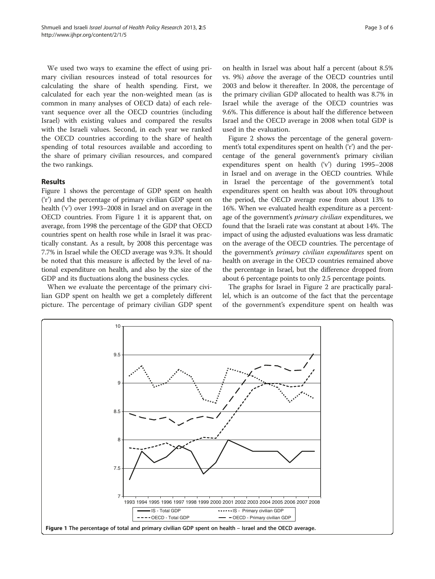We used two ways to examine the effect of using primary civilian resources instead of total resources for calculating the share of health spending. First, we calculated for each year the non-weighted mean (as is common in many analyses of OECD data) of each relevant sequence over all the OECD countries (including Israel) with existing values and compared the results with the Israeli values. Second, in each year we ranked the OECD countries according to the share of health spending of total resources available and according to the share of primary civilian resources, and compared the two rankings.

### Results

Figure 1 shows the percentage of GDP spent on health ('r') and the percentage of primary civilian GDP spent on health ('v') over 1993–2008 in Israel and on average in the OECD countries. From Figure 1 it is apparent that, on average, from 1998 the percentage of the GDP that OECD countries spent on health rose while in Israel it was practically constant. As a result, by 2008 this percentage was 7.7% in Israel while the OECD average was 9.3%. It should be noted that this measure is affected by the level of national expenditure on health, and also by the size of the GDP and its fluctuations along the business cycles.

When we evaluate the percentage of the primary civilian GDP spent on health we get a completely different picture. The percentage of primary civilian GDP spent

on health in Israel was about half a percent (about 8.5% vs. 9%) above the average of the OECD countries until 2003 and below it thereafter. In 2008, the percentage of the primary civilian GDP allocated to health was 8.7% in Israel while the average of the OECD countries was 9.6%. This difference is about half the difference between Israel and the OECD average in 2008 when total GDP is used in the evaluation.

Figure [2](#page-3-0) shows the percentage of the general government's total expenditures spent on health ('r') and the percentage of the general government's primary civilian expenditures spent on health ('v') during 1995–2008 in Israel and on average in the OECD countries. While in Israel the percentage of the government's total expenditures spent on health was about 10% throughout the period, the OECD average rose from about 13% to 16%. When we evaluated health expenditure as a percentage of the government's *primary civilian* expenditures, we found that the Israeli rate was constant at about 14%. The impact of using the adjusted evaluations was less dramatic on the average of the OECD countries. The percentage of the government's *primary civilian expenditures* spent on health on average in the OECD countries remained above the percentage in Israel, but the difference dropped from about 6 percentage points to only 2.5 percentage points.

The graphs for Israel in Figure [2](#page-3-0) are practically parallel, which is an outcome of the fact that the percentage of the government's expenditure spent on health was

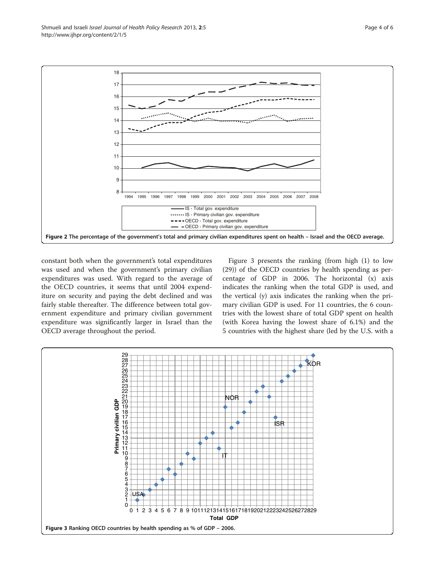<span id="page-3-0"></span>

http://www.ijhpr.org/content/2/1/5



1994 1995 1996 1997 1998 1999 2000 2001 2002 2003 2004 2005 2006 2007 2008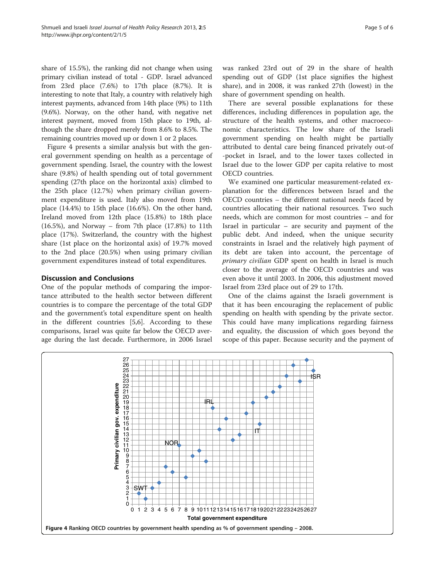share of 15.5%), the ranking did not change when using primary civilian instead of total - GDP. Israel advanced from 23rd place (7.6%) to 17th place (8.7%). It is interesting to note that Italy, a country with relatively high interest payments, advanced from 14th place (9%) to 11th (9.6%). Norway, on the other hand, with negative net interest payment, moved from 15th place to 19th, although the share dropped merely from 8.6% to 8.5%. The remaining countries moved up or down 1 or 2 places.

Figure 4 presents a similar analysis but with the general government spending on health as a percentage of government spending. Israel, the country with the lowest share (9.8%) of health spending out of total government spending (27th place on the horizontal axis) climbed to the 25th place (12.7%) when primary civilian government expenditure is used. Italy also moved from 19th place (14.4%) to 15th place (16.6%). On the other hand, Ireland moved from 12th place (15.8%) to 18th place  $(16.5\%)$ , and Norway – from 7th place  $(17.8\%)$  to 11th place (17%). Switzerland, the country with the highest share (1st place on the horizontal axis) of 19.7% moved to the 2nd place (20.5%) when using primary civilian government expenditures instead of total expenditures.

## Discussion and Conclusions

One of the popular methods of comparing the importance attributed to the health sector between different countries is to compare the percentage of the total GDP and the government's total expenditure spent on health in the different countries [[5,6\]](#page-5-0). According to these comparisons, Israel was quite far below the OECD average during the last decade. Furthermore, in 2006 Israel was ranked 23rd out of 29 in the share of health spending out of GDP (1st place signifies the highest share), and in 2008, it was ranked 27th (lowest) in the share of government spending on health.

There are several possible explanations for these differences, including differences in population age, the structure of the health systems, and other macroeconomic characteristics. The low share of the Israeli government spending on health might be partially attributed to dental care being financed privately out-of -pocket in Israel, and to the lower taxes collected in Israel due to the lower GDP per capita relative to most OECD countries.

We examined one particular measurement-related explanation for the differences between Israel and the OECD countries – the different national needs faced by countries allocating their national resources. Two such needs, which are common for most countries – and for Israel in particular – are security and payment of the public debt. And indeed, when the unique security constraints in Israel and the relatively high payment of its debt are taken into account, the percentage of primary civilian GDP spent on health in Israel is much closer to the average of the OECD countries and was even above it until 2003. In 2006, this adjustment moved Israel from 23rd place out of 29 to 17th.

One of the claims against the Israeli government is that it has been encouraging the replacement of public spending on health with spending by the private sector. This could have many implications regarding fairness and equality, the discussion of which goes beyond the scope of this paper. Because security and the payment of